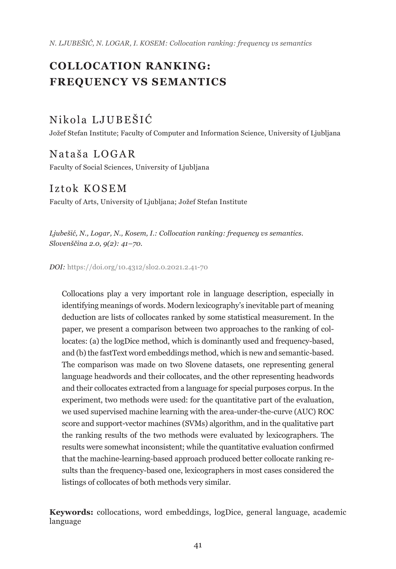*N. LJUBEŠIĆ, N. LOGAR, I. KOSEM: Collocation ranking: frequency vs semantics*

# **COLLOCATION RANKING: FREQUENCY VS SEMANTICS**

# Nikola LJUBEŠIĆ

Jožef Stefan Institute; Faculty of Computer and Information Science, University of Ljubljana

# Nataša LOGAR

Faculty of Social Sciences, University of Ljubljana

## Iztok KOSEM

Faculty of Arts, University of Ljubljana; Jožef Stefan Institute

*Ljubešić, N., Logar, N., Kosem, I.: Collocation ranking: frequency vs semantics. Slovenščina 2.0, 9(2): 41–70.* 

*DOI:* [https://doi.org/10.4312/slo2.0.2021.2.41-](https://doi.org/10.4312/slo2.0.2021.2.41-70)70

Collocations play a very important role in language description, especially in identifying meanings of words. Modern lexicography's inevitable part of meaning deduction are lists of collocates ranked by some statistical measurement. In the paper, we present a comparison between two approaches to the ranking of collocates: (a) the logDice method, which is dominantly used and frequency-based, and (b) the fastText word embeddings method, which is new and semantic-based. The comparison was made on two Slovene datasets, one representing general language headwords and their collocates, and the other representing headwords and their collocates extracted from a language for special purposes corpus. In the experiment, two methods were used: for the quantitative part of the evaluation, we used supervised machine learning with the area-under-the-curve (AUC) ROC score and support-vector machines (SVMs) algorithm, and in the qualitative part the ranking results of the two methods were evaluated by lexicographers. The results were somewhat inconsistent; while the quantitative evaluation confirmed that the machine-learning-based approach produced better collocate ranking results than the frequency-based one, lexicographers in most cases considered the listings of collocates of both methods very similar.

**Keywords:** collocations, word embeddings, logDice, general language, academic language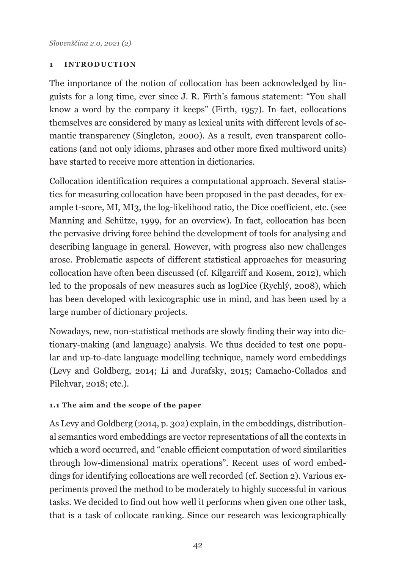#### **1 INTRODUCTION**

The importance of the notion of collocation has been acknowledged by linguists for a long time, ever since J. R. Firth's famous statement: "You shall know a word by the company it keeps" (Firth, 1957). In fact, collocations themselves are considered by many as lexical units with different levels of semantic transparency (Singleton, 2000). As a result, even transparent collocations (and not only idioms, phrases and other more fixed multiword units) have started to receive more attention in dictionaries.

Collocation identification requires a computational approach. Several statistics for measuring collocation have been proposed in the past decades, for example t-score, MI, MI3, the log-likelihood ratio, the Dice coefficient, etc. (see Manning and Schütze, 1999, for an overview). In fact, collocation has been the pervasive driving force behind the development of tools for analysing and describing language in general. However, with progress also new challenges arose. Problematic aspects of different statistical approaches for measuring collocation have often been discussed (cf. Kilgarriff and Kosem, 2012), which led to the proposals of new measures such as logDice (Rychlý, 2008), which has been developed with lexicographic use in mind, and has been used by a large number of dictionary projects.

Nowadays, new, non-statistical methods are slowly finding their way into dictionary-making (and language) analysis. We thus decided to test one popular and up-to-date language modelling technique, namely word embeddings (Levy and Goldberg, 2014; Li and Jurafsky, 2015; Camacho-Collados and Pilehvar, 2018; etc.).

### **1.1 The aim and the scope of the paper**

As Levy and Goldberg (2014, p. 302) explain, in the embeddings, distributional semantics word embeddings are vector representations of all the contexts in which a word occurred, and "enable efficient computation of word similarities through low-dimensional matrix operations". Recent uses of word embeddings for identifying collocations are well recorded (cf. Section 2). Various experiments proved the method to be moderately to highly successful in various tasks. We decided to find out how well it performs when given one other task, that is a task of collocate ranking. Since our research was lexicographically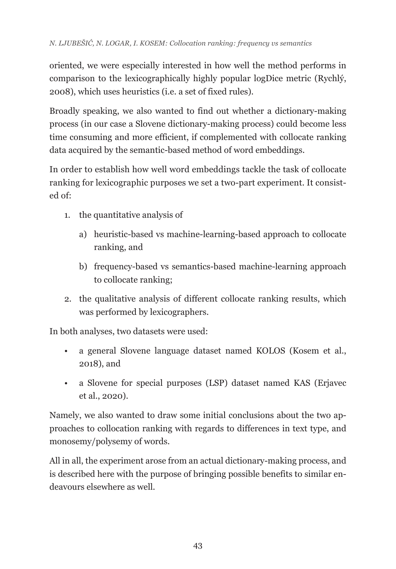oriented, we were especially interested in how well the method performs in comparison to the lexicographically highly popular logDice metric (Rychlý, 2008), which uses heuristics (i.e. a set of fixed rules).

Broadly speaking, we also wanted to find out whether a dictionary-making process (in our case a Slovene dictionary-making process) could become less time consuming and more efficient, if complemented with collocate ranking data acquired by the semantic-based method of word embeddings.

In order to establish how well word embeddings tackle the task of collocate ranking for lexicographic purposes we set a two-part experiment. It consisted of:

- 1. the quantitative analysis of
	- a) heuristic-based vs machine-learning-based approach to collocate ranking, and
	- b) frequency-based vs semantics-based machine-learning approach to collocate ranking;
- 2. the qualitative analysis of different collocate ranking results, which was performed by lexicographers.

In both analyses, two datasets were used:

- a general Slovene language dataset named KOLOS (Kosem et al., 2018), and
- a Slovene for special purposes (LSP) dataset named KAS (Erjavec et al., 2020).

Namely, we also wanted to draw some initial conclusions about the two approaches to collocation ranking with regards to differences in text type, and monosemy/polysemy of words.

All in all, the experiment arose from an actual dictionary-making process, and is described here with the purpose of bringing possible benefits to similar endeavours elsewhere as well.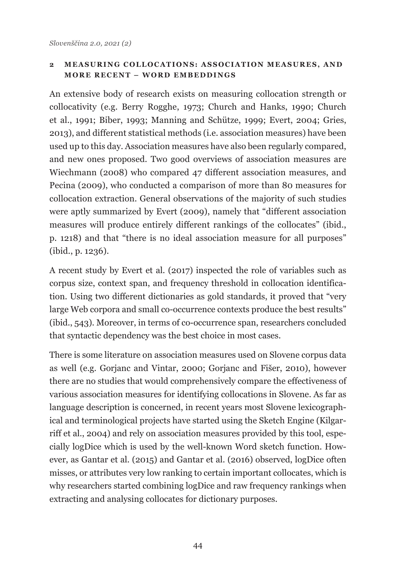### 2 **MEASURING COLLOCATIONS: ASSOCIATION MEASURES, AND MORE RECENT – WORD EMBEDDINGS**

An extensive body of research exists on measuring collocation strength or collocativity (e.g. Berry Rogghe, 1973; Church and Hanks, 1990; Church et al., 1991; Biber, 1993; Manning and Schütze, 1999; Evert, 2004; Gries, 2013), and different statistical methods (i.e. association measures) have been used up to this day. Association measures have also been regularly compared, and new ones proposed. Two good overviews of association measures are Wiechmann (2008) who compared 47 different association measures, and Pecina (2009), who conducted a comparison of more than 80 measures for collocation extraction. General observations of the majority of such studies were aptly summarized by Evert (2009), namely that "different association measures will produce entirely different rankings of the collocates" (ibid., p. 1218) and that "there is no ideal association measure for all purposes" (ibid., p. 1236).

A recent study by Evert et al. (2017) inspected the role of variables such as corpus size, context span, and frequency threshold in collocation identification. Using two different dictionaries as gold standards, it proved that "very large Web corpora and small co-occurrence contexts produce the best results" (ibid., 543). Moreover, in terms of co-occurrence span, researchers concluded that syntactic dependency was the best choice in most cases.

There is some literature on association measures used on Slovene corpus data as well (e.g. Gorjanc and Vintar, 2000; Gorjanc and Fišer, 2010), however there are no studies that would comprehensively compare the effectiveness of various association measures for identifying collocations in Slovene. As far as language description is concerned, in recent years most Slovene lexicographical and terminological projects have started using the Sketch Engine (Kilgarriff et al., 2004) and rely on association measures provided by this tool, especially logDice which is used by the well-known Word sketch function. However, as Gantar et al. (2015) and Gantar et al. (2016) observed, logDice often misses, or attributes very low ranking to certain important collocates, which is why researchers started combining logDice and raw frequency rankings when extracting and analysing collocates for dictionary purposes.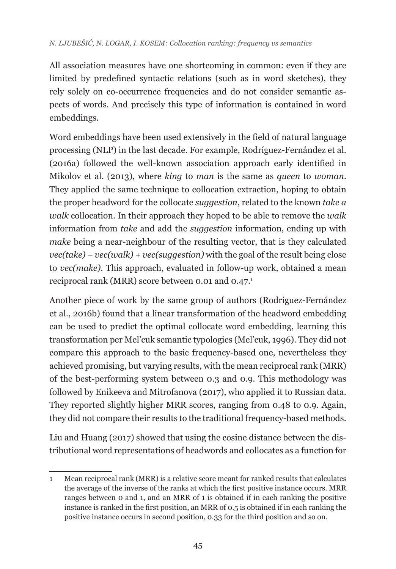### *N. LJUBEŠIĆ, N. LOGAR, I. KOSEM: Collocation ranking: frequency vs semantics*

All association measures have one shortcoming in common: even if they are limited by predefined syntactic relations (such as in word sketches), they rely solely on co-occurrence frequencies and do not consider semantic aspects of words. And precisely this type of information is contained in word embeddings.

Word embeddings have been used extensively in the field of natural language processing (NLP) in the last decade. For example, Rodríguez-Fernández et al. (2016a) followed the well-known association approach early identified in Mikolov et al. (2013), where *king* to *man* is the same as *queen* to *woman*. They applied the same technique to collocation extraction, hoping to obtain the proper headword for the collocate *suggestion*, related to the known *take a walk* collocation. In their approach they hoped to be able to remove the *walk* information from *take* and add the *suggestion* information, ending up with *make* being a near-neighbour of the resulting vector, that is they calculated *vec(take) − vec(walk) + vec(suggestion)* with the goal of the result being close to *vec(make).* This approach, evaluated in follow-up work, obtained a mean reciprocal rank (MRR) score between 0.01 and 0.47.<sup>1</sup>

Another piece of work by the same group of authors (Rodríguez-Fernández et al., 2016b) found that a linear transformation of the headword embedding can be used to predict the optimal collocate word embedding, learning this transformation per Mel'cuk semantic typologies (Mel'cuk, 1996). They did not compare this approach to the basic frequency-based one, nevertheless they achieved promising, but varying results, with the mean reciprocal rank (MRR) of the best-performing system between 0.3 and 0.9. This methodology was followed by Enikeeva and Mitrofanova (2017), who applied it to Russian data. They reported slightly higher MRR scores, ranging from 0.48 to 0.9. Again, they did not compare their results to the traditional frequency-based methods.

Liu and Huang (2017) showed that using the cosine distance between the distributional word representations of headwords and collocates as a function for

<sup>1</sup> Mean reciprocal rank (MRR) is a relative score meant for ranked results that calculates the average of the inverse of the ranks at which the first positive instance occurs. MRR ranges between 0 and 1, and an MRR of 1 is obtained if in each ranking the positive instance is ranked in the first position, an MRR of 0.5 is obtained if in each ranking the positive instance occurs in second position, 0.33 for the third position and so on.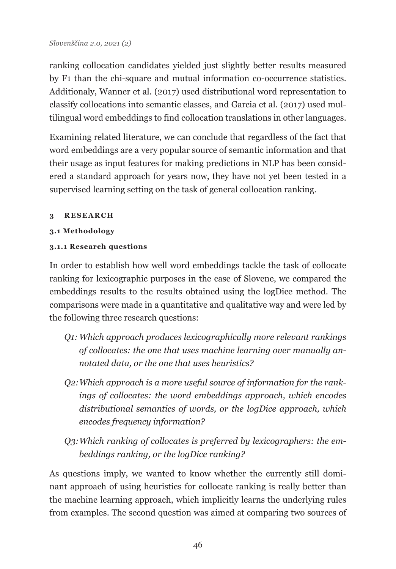ranking collocation candidates yielded just slightly better results measured by F1 than the chi-square and mutual information co-occurrence statistics. Additionaly, Wanner et al. (2017) [used distributional word representation to](https://academic.oup.com/ijl/article-abstract/30/2/167/2555472?redirectedFrom=fulltext)  [classify collocations into semantic classes, and Garcia et](https://academic.oup.com/ijl/article-abstract/30/2/167/2555472?redirectedFrom=fulltext) al. (2017) used mul[tilingual word embeddings to find collocation translations in other languages.](https://academic.oup.com/ijl/article-abstract/30/2/167/2555472?redirectedFrom=fulltext)

Examining related literature, we can conclude that regardless of the fact that word embeddings are a very popular source of semantic information and that their usage as input features for making predictions in NLP has been considered a standard approach for years now, they have not yet been tested in a supervised learning setting on the task of general collocation ranking.

### **3 RESEARCH**

## **3.1 Methodology**

## **3.1.1 Research questions**

In order to establish how well word embeddings tackle the task of collocate ranking for lexicographic purposes in the case of Slovene, we compared the embeddings results to the results obtained using the logDice method. The comparisons were made in a quantitative and qualitative way and were led by the following three research questions:

- *Q1:Which approach produces lexicographically more relevant rankings of collocates: the one that uses machine learning over manually annotated data, or the one that uses heuristics?*
- *Q2:Which approach is a more useful source of information for the rankings of collocates: the word embeddings approach, which encodes distributional semantics of words, or the logDice approach, which encodes frequency information?*
- *Q3:Which ranking of collocates is preferred by lexicographers: the embeddings ranking, or the logDice ranking?*

As questions imply, we wanted to know whether the currently still dominant approach of using heuristics for collocate ranking is really better than the machine learning approach, which implicitly learns the underlying rules from examples. The second question was aimed at comparing two sources of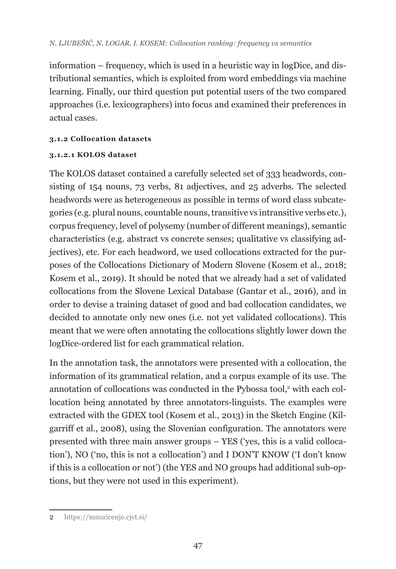information – frequency, which is used in a heuristic way in logDice, and distributional semantics, which is exploited from word embeddings via machine learning. Finally, our third question put potential users of the two compared approaches (i.e. lexicographers) into focus and examined their preferences in actual cases.

## **3.1.2 Collocation datasets**

## **3.1.2.1 KOLOS dataset**

The KOLOS dataset contained a carefully selected set of 333 headwords, consisting of 154 nouns, 73 verbs, 81 adjectives, and 25 adverbs. The selected headwords were as heterogeneous as possible in terms of word class subcategories (e.g. plural nouns, countable nouns, transitive vs intransitive verbs etc.), corpus frequency, level of polysemy (number of different meanings), semantic characteristics (e.g. abstract vs concrete senses; qualitative vs classifying adjectives), etc. For each headword, we used collocations extracted for the purposes of the Collocations Dictionary of Modern Slovene (Kosem et al., 2018; Kosem et al., 2019). It should be noted that we already had a set of validated collocations from the Slovene Lexical Database (Gantar et al., 2016), and in order to devise a training dataset of good and bad collocation candidates, we decided to annotate only new ones (i.e. not yet validated collocations). This meant that we were often annotating the collocations slightly lower down the logDice-ordered list for each grammatical relation.

In the annotation task, the annotators were presented with a collocation, the information of its grammatical relation, and a corpus example of its use. The annotation of collocations was conducted in the Pybossa tool, $^{\text{2}}$  with each collocation being annotated by three annotators-linguists. The examples were extracted with the GDEX tool (Kosem et al., 2013) in the Sketch Engine (Kilgarriff et al., 2008), using the Slovenian configuration. The annotators were presented with three main answer groups – YES ('yes, this is a valid collocation'), NO ('no, this is not a collocation') and I DON'T KNOW ('I don't know if this is a collocation or not') (the YES and NO groups had additional sub-options, but they were not used in this experiment).

<sup>2</sup> <https://mnozicenje.cjvt.si/>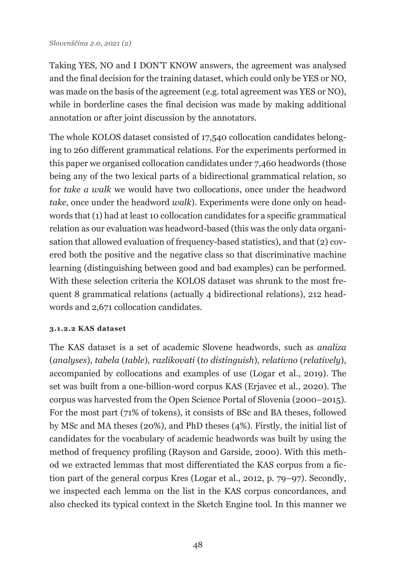Taking YES, NO and I DON'T KNOW answers, the agreement was analysed and the final decision for the training dataset, which could only be YES or NO, was made on the basis of the agreement (e.g. total agreement was YES or NO), while in borderline cases the final decision was made by making additional annotation or after joint discussion by the annotators.

The whole KOLOS dataset consisted of 17,540 collocation candidates belonging to 260 different grammatical relations. For the experiments performed in this paper we organised collocation candidates under 7,460 headwords (those being any of the two lexical parts of a bidirectional grammatical relation, so for *take a walk* we would have two collocations, once under the headword *take*, once under the headword *walk*). Experiments were done only on headwords that (1) had at least 10 collocation candidates for a specific grammatical relation as our evaluation was headword-based (this was the only data organisation that allowed evaluation of frequency-based statistics), and that (2) covered both the positive and the negative class so that discriminative machine learning (distinguishing between good and bad examples) can be performed. With these selection criteria the KOLOS dataset was shrunk to the most frequent 8 grammatical relations (actually 4 bidirectional relations), 212 headwords and 2,671 collocation candidates.

### **3.1.2.2 KAS dataset**

The KAS dataset is a set of academic Slovene headwords, such as *analiza* (*analyses*), *tabela* (*table*), *razlikovati* (*to distinguish*), *relativno* (*relatively*), accompanied by collocations and examples of use (Logar et al., 2019). The set was built from a one-billion-word corpus KAS (Erjavec et al., 2020). The corpus was harvested from the Open Science Portal of Slovenia (2000–2015). For the most part (71% of tokens), it consists of BSc and BA theses, followed by MSc and MA theses (20%), and PhD theses (4%). Firstly, the initial list of candidates for the vocabulary of academic headwords was built by using the method of frequency profiling (Rayson and Garside, 2000). With this method we extracted lemmas that most differentiated the KAS corpus from a fiction part of the general corpus Kres (Logar et al., 2012, p. 79–97). Secondly, we inspected each lemma on the list in the KAS corpus concordances, and also checked its typical context in the Sketch Engine tool. In this manner we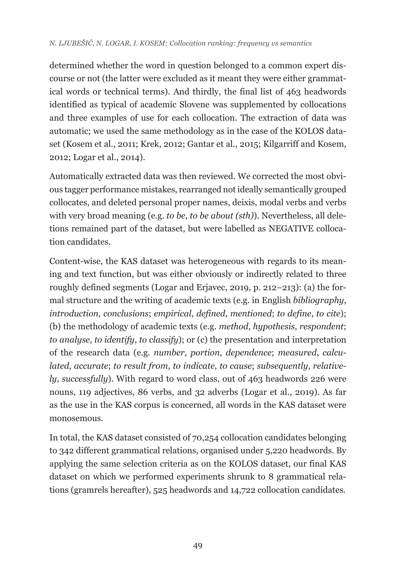determined whether the word in question belonged to a common expert discourse or not (the latter were excluded as it meant they were either grammatical words or technical terms). And thirdly, the final list of 463 headwords identified as typical of academic Slovene was supplemented by collocations and three examples of use for each collocation. The extraction of data was automatic; we used the same methodology as in the case of the KOLOS dataset (Kosem et al., 2011; Krek, 2012; Gantar et al., 2015; Kilgarriff and Kosem, 2012; Logar et al., 2014).

Automatically extracted data was then reviewed. We corrected the most obvious tagger performance mistakes, rearranged not ideally semantically grouped collocates, and deleted personal proper names, deixis, modal verbs and verbs with very broad meaning (e.g. *to be*, *to be about (sth)*). Nevertheless, all deletions remained part of the dataset, but were labelled as NEGATIVE collocation candidates.

Content-wise, the KAS dataset was heterogeneous with regards to its meaning and text function, but was either obviously or indirectly related to three roughly defined segments (Logar and Erjavec, 2019, p. 212–213): (a) the formal structure and the writing of academic texts (e.g. in English *bibliography*, *introduction*, *conclusions*; *empirical*, *defined*, *mentioned*; *to define*, *to cite*); (b) the methodology of academic texts (e.g. *method*, *hypothesis*, *respondent*; *to analyse*, *to identify*, *to classify*); or (c) the presentation and interpretation of the research data (e.g. *number*, *portion*, *dependence*; *measured*, *calculated*, *accurate*; *to result from*, *to indicate*, *to cause*; *subsequently*, *relatively*, *successfully*). With regard to word class, out of 463 headwords 226 were nouns, 119 adjectives, 86 verbs, and 32 adverbs (Logar et al., 2019). As far as the use in the KAS corpus is concerned, all words in the KAS dataset were monosemous.

In total, the KAS dataset consisted of 70,254 collocation candidates belonging to 342 different grammatical relations, organised under 5,220 headwords. By applying the same selection criteria as on the KOLOS dataset, our final KAS dataset on which we performed experiments shrunk to 8 grammatical relations (gramrels hereafter), 525 headwords and 14,722 collocation candidates.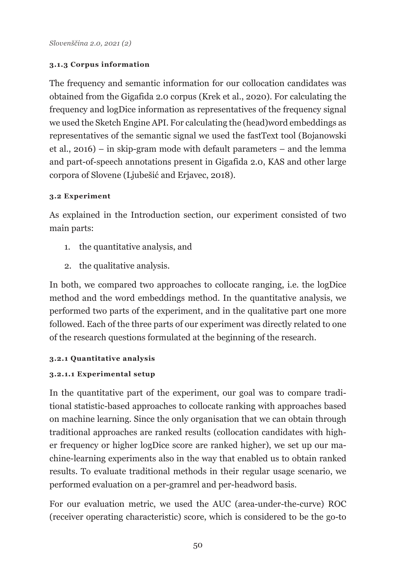## **3.1.3 Corpus information**

The frequency and semantic information for our collocation candidates was obtained from the Gigafida 2.0 corpus (Krek et al., 2020). For calculating the frequency and logDice information as representatives of the frequency signal we used the Sketch Engine API. For calculating the (head)word embeddings as representatives of the semantic signal we used the fastText tool (Bojanowski et al., 2016) – in skip-gram mode with default parameters – and the lemma and part-of-speech annotations present in Gigafida 2.0, KAS and other large corpora of Slovene (Ljubešić and Erjavec, 2018).

## **3.2 Experiment**

As explained in the Introduction section, our experiment consisted of two main parts:

- 1. the quantitative analysis, and
- 2. the qualitative analysis.

In both, we compared two approaches to collocate ranging, i.e. the logDice method and the word embeddings method. In the quantitative analysis, we performed two parts of the experiment, and in the qualitative part one more followed. Each of the three parts of our experiment was directly related to one of the research questions formulated at the beginning of the research.

### **3.2.1 Quantitative analysis**

## **3.2.1.1 Experimental setup**

In the quantitative part of the experiment, our goal was to compare traditional statistic-based approaches to collocate ranking with approaches based on machine learning. Since the only organisation that we can obtain through traditional approaches are ranked results (collocation candidates with higher frequency or higher logDice score are ranked higher), we set up our machine-learning experiments also in the way that enabled us to obtain ranked results. To evaluate traditional methods in their regular usage scenario, we performed evaluation on a per‑gramrel and per-headword basis.

For our evaluation metric, we used the AUC (area-under-the-curve) ROC (receiver operating characteristic) score, which is considered to be the go-to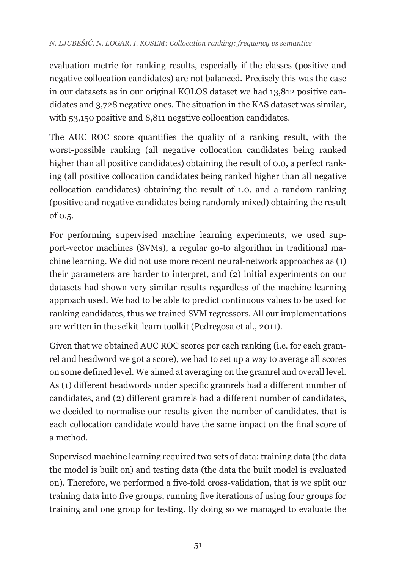evaluation metric for ranking results, especially if the classes (positive and negative collocation candidates) are not balanced. Precisely this was the case in our datasets as in our original KOLOS dataset we had 13,812 positive candidates and 3,728 negative ones. The situation in the KAS dataset was similar, with 53,150 positive and 8,811 negative collocation candidates.

The AUC ROC score quantifies the quality of a ranking result, with the worst-possible ranking (all negative collocation candidates being ranked higher than all positive candidates) obtaining the result of 0.0, a perfect ranking (all positive collocation candidates being ranked higher than all negative collocation candidates) obtaining the result of 1.0, and a random ranking (positive and negative candidates being randomly mixed) obtaining the result of 0.5.

For performing supervised machine learning experiments, we used support-vector machines (SVMs), a regular go-to algorithm in traditional machine learning. We did not use more recent neural-network approaches as (1) their parameters are harder to interpret, and (2) initial experiments on our datasets had shown very similar results regardless of the machine‑learning approach used. We had to be able to predict continuous values to be used for ranking candidates, thus we trained SVM regressors. All our implementations are written in the scikit-learn toolkit (Pedregosa et al., 2011).

Given that we obtained AUC ROC scores per each ranking (i.e. for each gramrel and headword we got a score), we had to set up a way to average all scores on some defined level. We aimed at averaging on the gramrel and overall level. As (1) different headwords under specific gramrels had a different number of candidates, and (2) different gramrels had a different number of candidates, we decided to normalise our results given the number of candidates, that is each collocation candidate would have the same impact on the final score of a method.

Supervised machine learning required two sets of data: training data (the data the model is built on) and testing data (the data the built model is evaluated on). Therefore, we performed a five-fold cross-validation, that is we split our training data into five groups, running five iterations of using four groups for training and one group for testing. By doing so we managed to evaluate the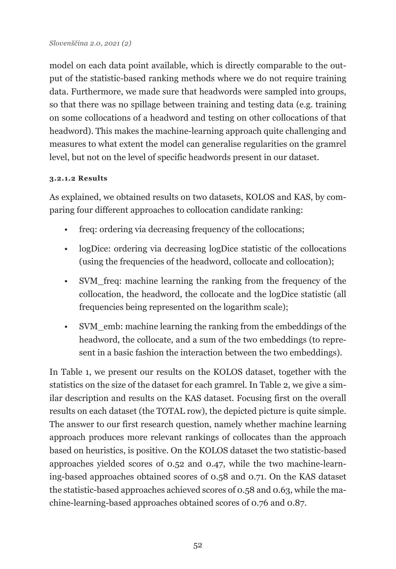model on each data point available, which is directly comparable to the output of the statistic-based ranking methods where we do not require training data. Furthermore, we made sure that headwords were sampled into groups, so that there was no spillage between training and testing data (e.g. training on some collocations of a headword and testing on other collocations of that headword). This makes the machine-learning approach quite challenging and measures to what extent the model can generalise regularities on the gramrel level, but not on the level of specific headwords present in our dataset.

## **3.2.1.2 Results**

As explained, we obtained results on two datasets, KOLOS and KAS, by comparing four different approaches to collocation candidate ranking:

- freq: ordering via decreasing frequency of the collocations;
- logDice: ordering via decreasing logDice statistic of the collocations (using the frequencies of the headword, collocate and collocation);
- SVM freq: machine learning the ranking from the frequency of the collocation, the headword, the collocate and the logDice statistic (all frequencies being represented on the logarithm scale);
- SVM\_emb: machine learning the ranking from the embeddings of the headword, the collocate, and a sum of the two embeddings (to represent in a basic fashion the interaction between the two embeddings).

In Table 1, we present our results on the KOLOS dataset, together with the statistics on the size of the dataset for each gramrel. In Table 2, we give a similar description and results on the KAS dataset. Focusing first on the overall results on each dataset (the TOTAL row), the depicted picture is quite simple. The answer to our first research question, namely whether machine learning approach produces more relevant rankings of collocates than the approach based on heuristics, is positive. On the KOLOS dataset the two statistic-based approaches yielded scores of 0.52 and 0.47, while the two machine-learning-based approaches obtained scores of 0.58 and 0.71. On the KAS dataset the statistic-based approaches achieved scores of 0.58 and 0.63, while the machine-learning-based approaches obtained scores of 0.76 and 0.87.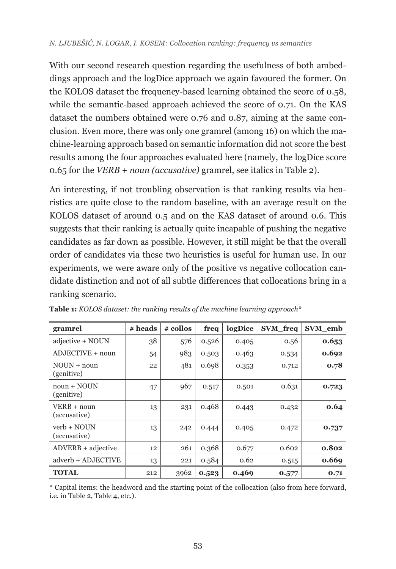With our second research question regarding the usefulness of both ambeddings approach and the logDice approach we again favoured the former. On the KOLOS dataset the frequency-based learning obtained the score of 0.58, while the semantic-based approach achieved the score of 0.71. On the KAS dataset the numbers obtained were 0.76 and 0.87, aiming at the same conclusion. Even more, there was only one gramrel (among 16) on which the machine-learning approach based on semantic information did not score the best results among the four approaches evaluated here (namely, the logDice score 0.65 for the *VERB + noun (accusative)* gramrel, see italics in Table 2).

An interesting, if not troubling observation is that ranking results via heuristics are quite close to the random baseline, with an average result on the KOLOS dataset of around 0.5 and on the KAS dataset of around 0.6. This suggests that their ranking is actually quite incapable of pushing the negative candidates as far down as possible. However, it still might be that the overall order of candidates via these two heuristics is useful for human use. In our experiments, we were aware only of the positive vs negative collocation candidate distinction and not of all subtle differences that collocations bring in a ranking scenario.

| gramrel                      | # heads | # collos | freq  | logDice | SVM freq | SVM_emb |
|------------------------------|---------|----------|-------|---------|----------|---------|
| adjective + NOUN             | 38      | 576      | 0.526 | 0.405   | 0.56     | 0.653   |
| ADJECTIVE + noun             | 54      | 983      | 0.503 | 0.463   | 0.534    | 0.692   |
| $NOLIN + noun$<br>(genitive) | 22      | 481      | 0.698 | 0.353   | 0.712    | 0.78    |
| $noun + NOUN$<br>(genitive)  | 47      | 967      | 0.517 | 0.501   | 0.631    | 0.723   |
| VERB + noun<br>(accusative)  | 13      | 231      | 0.468 | 0.443   | 0.432    | 0.64    |
| verb + NOUN<br>(accusative)  | 13      | 242      | 0.444 | 0.405   | 0.472    | 0.737   |
| $ADVERB + adjective$         | 12      | 261      | 0.368 | 0.677   | 0.602    | 0.802   |
| adverb + ADJECTIVE           | 13      | 221      | 0.584 | 0.62    | 0.515    | 0.669   |
| <b>TOTAL</b>                 | 212     | 3962     | 0.523 | 0.469   | 0.577    | 0.71    |

**Table 1:** *KOLOS dataset: the ranking results of the machine learning approach\**

\* Capital items: the headword and the starting point of the collocation (also from here forward, i.e. in Table 2, Table 4, etc.).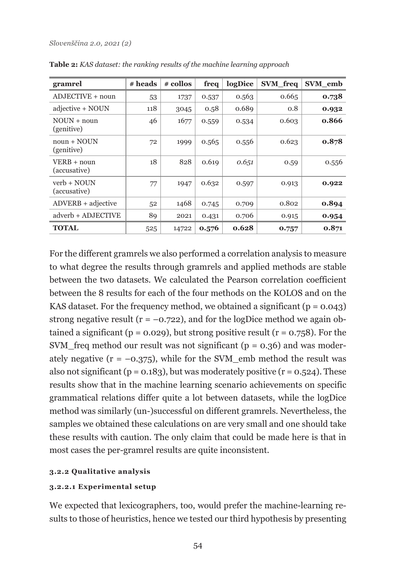| gramrel                       | # heads | # collos | freq  | logDice | SVM freq | SVM_emb |
|-------------------------------|---------|----------|-------|---------|----------|---------|
| $ADJECTIVE + noun$            | 53      | 1737     | 0.537 | 0.563   | 0.665    | 0.738   |
| adjective + NOUN              | 118     | 3045     | 0.58  | 0.689   | 0.8      | 0.932   |
| $NOLIN + noun$<br>(genitive)  | 46      | 1677     | 0.559 | 0.534   | 0.603    | 0.866   |
| $noun + NOUN$<br>(genitive)   | 72      | 1999     | 0.565 | 0.556   | 0.623    | 0.878   |
| VERB + noun<br>(accusative)   | 18      | 828      | 0.619 | 0.651   | 0.59     | 0.556   |
| $verb + NOUN$<br>(accusative) | 77      | 1947     | 0.632 | 0.597   | 0.913    | 0.922   |
| $ADVERB + adjective$          | 52      | 1468     | 0.745 | 0.709   | 0.802    | 0.894   |
| adverb + ADJECTIVE            | 89      | 2021     | 0.431 | 0.706   | 0.915    | 0.954   |
| <b>TOTAL</b>                  | 525     | 14722    | 0.576 | 0.628   | 0.757    | 0.871   |

**Table 2:** *KAS dataset: the ranking results of the machine learning approach*

For the different gramrels we also performed a correlation analysis to measure to what degree the results through gramrels and applied methods are stable between the two datasets. We calculated the Pearson correlation coefficient between the 8 results for each of the four methods on the KOLOS and on the KAS dataset. For the frequency method, we obtained a significant ( $p = 0.043$ ) strong negative result ( $r = -0.722$ ), and for the logDice method we again obtained a significant ( $p = 0.029$ ), but strong positive result ( $r = 0.758$ ). For the SVM\_freq method our result was not significant ( $p = 0.36$ ) and was moderately negative ( $r = -0.375$ ), while for the SVM emb method the result was also not significant ( $p = 0.183$ ), but was moderately positive ( $r = 0.524$ ). These results show that in the machine learning scenario achievements on specific grammatical relations differ quite a lot between datasets, while the logDice method was similarly (un-)successful on different gramrels. Nevertheless, the samples we obtained these calculations on are very small and one should take these results with caution. The only claim that could be made here is that in most cases the per-gramrel results are quite inconsistent.

#### **3.2.2 Qualitative analysis**

#### **3.2.2.1 Experimental setup**

We expected that lexicographers, too, would prefer the machine-learning results to those of heuristics, hence we tested our third hypothesis by presenting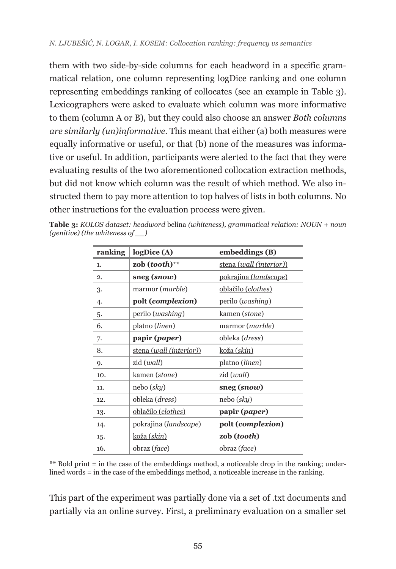them with two side-by-side columns for each headword in a specific grammatical relation, one column representing logDice ranking and one column representing embeddings ranking of collocates (see an example in Table 3). Lexicographers were asked to evaluate which column was more informative to them (column A or B), but they could also choose an answer *Both columns are similarly (un)informative*. This meant that either (a) both measures were equally informative or useful, or that (b) none of the measures was informative or useful. In addition, participants were alerted to the fact that they were evaluating results of the two aforementioned collocation extraction methods, but did not know which column was the result of which method. We also instructed them to pay more attention to top halves of lists in both columns. No other instructions for the evaluation process were given.

| ranking | logDice(A)                   | embeddings (B)               |  |
|---------|------------------------------|------------------------------|--|
| 1.      | zob $(tooth)$ **             | stena (wall (interior))      |  |
| 2.      | sneg (snow)                  | <u>pokrajina (landscape)</u> |  |
| 3.      | marmor ( <i>marble</i> )     | <u>oblačilo (clothes)</u>    |  |
| 4.      | polt (complexion)            | perilo ( <i>washing</i> )    |  |
| 5.      | perilo ( <i>washing</i> )    | kamen (stone)                |  |
| 6.      | platno ( <i>linen</i> )      | marmor ( <i>marble</i> )     |  |
| 7.      | papir ( <i>paper</i> )       | obleka ( <i>dress</i> )      |  |
| 8.      | stena (wall (interior))      | koža ( <i>skin</i> )         |  |
| 9.      | zid ( <i>wall</i> )          | platno (linen)               |  |
| 10.     | kamen (stone)                | zid ( <i>wall</i> )          |  |
| 11.     | nebo (sky)                   | sneg (snow)                  |  |
| 12.     | obleka ( <i>dress</i> )      | nebo ( <i>sky</i> )          |  |
| 13.     | <u>oblačilo (clothes)</u>    | papir ( <i>paper</i> )       |  |
| 14.     | <u>pokrajina (landscape)</u> | polt (complexion)            |  |
| 15.     | <u>koža (skin)</u>           | zob (tooth)                  |  |
| 16.     | obraz ( <i>face</i> )        | obraz ( <i>face</i> )        |  |

**Table 3:** *KOLOS dataset: headword* belina *(whiteness), grammatical relation: NOUN + noun (genitive) (the whiteness of \_\_)*

\*\* Bold print = in the case of the embeddings method, a noticeable drop in the ranking; underlined words = in the case of the embeddings method, a noticeable increase in the ranking.

This part of the experiment was partially done via a set of .txt documents and partially via an online survey. First, a preliminary evaluation on a smaller set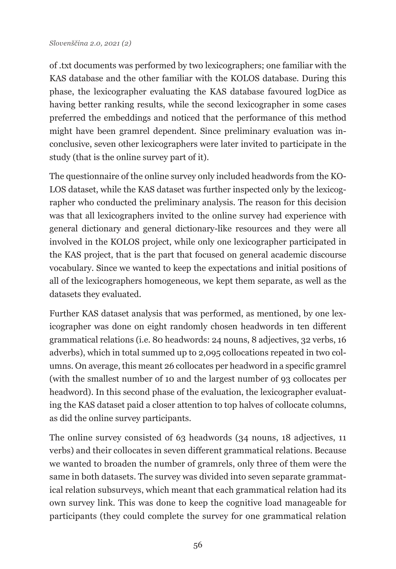of .txt documents was performed by two lexicographers; one familiar with the KAS database and the other familiar with the KOLOS database. During this phase, the lexicographer evaluating the KAS database favoured logDice as having better ranking results, while the second lexicographer in some cases preferred the embeddings and noticed that the performance of this method might have been gramrel dependent. Since preliminary evaluation was inconclusive, seven other lexicographers were later invited to participate in the study (that is the online survey part of it).

The questionnaire of the online survey only included headwords from the KO-LOS dataset, while the KAS dataset was further inspected only by the lexicographer who conducted the preliminary analysis. The reason for this decision was that all lexicographers invited to the online survey had experience with general dictionary and general dictionary-like resources and they were all involved in the KOLOS project, while only one lexicographer participated in the KAS project, that is the part that focused on general academic discourse vocabulary. Since we wanted to keep the expectations and initial positions of all of the lexicographers homogeneous, we kept them separate, as well as the datasets they evaluated.

Further KAS dataset analysis that was performed, as mentioned, by one lexicographer was done on eight randomly chosen headwords in ten different grammatical relations (i.e. 80 headwords: 24 nouns, 8 adjectives, 32 verbs, 16 adverbs), which in total summed up to 2,095 collocations repeated in two columns. On average, this meant 26 collocates per headword in a specific gramrel (with the smallest number of 10 and the largest number of 93 collocates per headword). In this second phase of the evaluation, the lexicographer evaluating the KAS dataset paid a closer attention to top halves of collocate columns, as did the online survey participants.

The online survey consisted of 63 headwords (34 nouns, 18 adjectives, 11 verbs) and their collocates in seven different grammatical relations. Because we wanted to broaden the number of gramrels, only three of them were the same in both datasets. The survey was divided into seven separate grammatical relation subsurveys, which meant that each grammatical relation had its own survey link. This was done to keep the cognitive load manageable for participants (they could complete the survey for one grammatical relation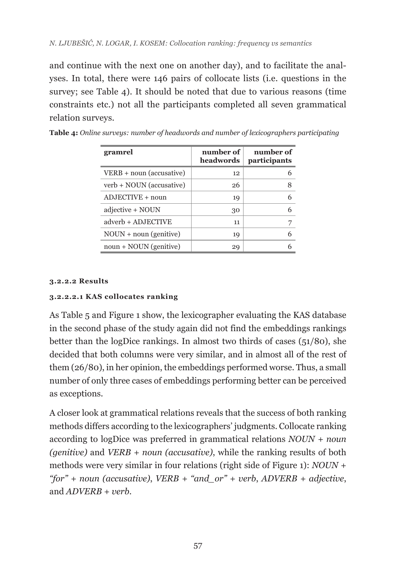and continue with the next one on another day), and to facilitate the analyses. In total, there were 146 pairs of collocate lists (i.e. questions in the survey; see Table 4). It should be noted that due to various reasons (time constraints etc.) not all the participants completed all seven grammatical relation surveys.

| gramrel                  | number of<br>headwords | number of<br>participants |
|--------------------------|------------------------|---------------------------|
| VERB + noun (accusative) | 12                     | 6                         |
| verb + NOUN (accusative) | 26                     | 8                         |
| $ADJECTIVE + noun$       | 19                     | 6                         |
| adjective + NOUN         | 30                     | 6                         |
| adverb + ADJECTIVE       | 11                     | 7                         |
| $NOUN + noun (genitive)$ | 19                     | 6                         |
| noun + NOUN (genitive)   | 29                     |                           |

#### **3.2.2.2 Results**

### **3.2.2.2.1 KAS collocates ranking**

As Table 5 and Figure 1 show, the lexicographer evaluating the KAS database in the second phase of the study again did not find the embeddings rankings better than the logDice rankings. In almost two thirds of cases  $(51/80)$ , she decided that both columns were very similar, and in almost all of the rest of them (26/80), in her opinion, the embeddings performed worse. Thus, a small number of only three cases of embeddings performing better can be perceived as exceptions.

A closer look at grammatical relations reveals that the success of both ranking methods differs according to the lexicographers' judgments. Collocate ranking according to logDice was preferred in grammatical relations *NOUN + noun (genitive)* and *VERB + noun (accusative)*, while the ranking results of both methods were very similar in four relations (right side of Figure 1): *NOUN + "for" + noun (accusative)*, *VERB + "and\_or" + verb*, *ADVERB + adjective*, and *ADVERB + verb.*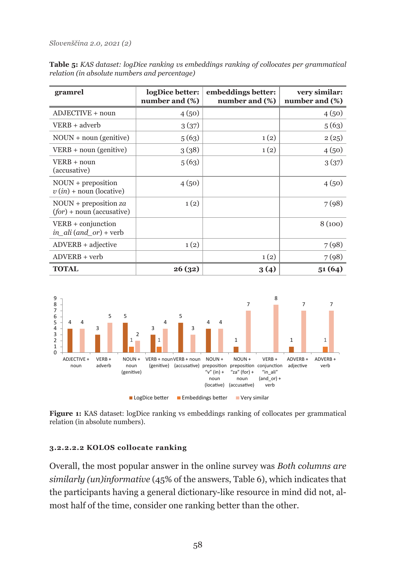**Table 5:** *KAS dataset: logDice ranking vs embeddings ranking of collocates per grammatical relation (in absolute numbers and percentage)*

| gramrel                                                  | logDice better:<br>number and (%) | embeddings better:<br>number and (%) | very similar:<br>number and (%) |
|----------------------------------------------------------|-----------------------------------|--------------------------------------|---------------------------------|
| ADJECTIVE + noun                                         | 4(50)                             |                                      | 4(50)                           |
| $VERB + adverb$                                          | 3(37)                             |                                      | 5(63)                           |
| $NOUN + noun (genitive)$                                 | 5(63)                             | 1(2)                                 | 2(25)                           |
| $VERB + noun (genitive)$                                 | 3 (38)                            | 1(2)                                 | 4(50)                           |
| $VERB + noun$<br>(accusative)                            | 5(63)                             |                                      | 3(37)                           |
| $NOUN + preposition$<br>$v(in) + \text{noun}$ (locative) | 4(50)                             |                                      | 4(50)                           |
| $NOUN + preposition za$<br>$(for)$ + noun (accusative)   | 1(2)                              |                                      | 7(98)                           |
| $VERB + conjunction$<br>in ali $(and \space or)$ + verb  |                                   |                                      | 8(100)                          |
| $ADVERB + adjective$                                     | 1(2)                              |                                      | 7(98)                           |
| $ADVERB + verb$                                          |                                   | 1(2)                                 | 7(98)                           |
| <b>TOTAL</b>                                             | 26(32)                            | 3 (4)                                | 51(64)                          |



**Figure 1:** KAS dataset: logDice ranking vs embeddings ranking of collocates per grammatical relation (in absolute numbers).

#### **3.2.2.2.2 KOLOS collocate ranking**

Overall, the most popular answer in the online survey was *Both columns are similarly (un)informative* (45% of the answers, Table 6), which indicates that the participants having a general dictionary-like resource in mind did not, almost half of the time, consider one ranking better than the other.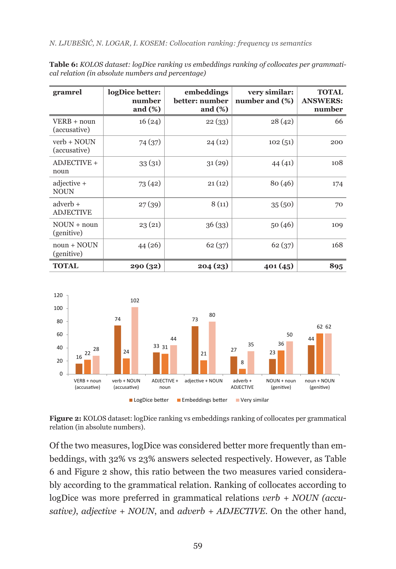*N. LJUBEŠIĆ, N. LOGAR, I. KOSEM: Collocation ranking: frequency vs semantics*

| gramrel                        | logDice better:<br>number<br>and $(\%)$ | embeddings<br>better: number<br>and $(\%)$ | very similar:<br>number and (%) | <b>TOTAL</b><br><b>ANSWERS:</b><br>number |
|--------------------------------|-----------------------------------------|--------------------------------------------|---------------------------------|-------------------------------------------|
| VERB + noun<br>(accusative)    | 16(24)                                  | 22(33)                                     | 28(42)                          | 66                                        |
| verb + NOUN<br>(accusative)    | 74 (37)                                 | 24(12)                                     | 102(51)                         | 200                                       |
| ADJECTIVE +<br>noun            | 33(31)                                  | 31(29)                                     | 44(41)                          | 108                                       |
| $adjective +$<br><b>NOUN</b>   | 73(42)                                  | 21(12)                                     | 80(46)                          | 174                                       |
| $adverb++$<br><b>ADJECTIVE</b> | 27(39)                                  | 8(11)                                      | 35(50)                          | 70                                        |
| $NOUN + noun$<br>(genitive)    | 23(21)                                  | 36(33)                                     | 50(46)                          | 109                                       |
| $noun + NOUN$<br>(genitive)    | 44 (26)                                 | 62(37)                                     | 62(37)                          | 168                                       |
| <b>TOTAL</b>                   | 290 (32)                                | 204(23)                                    | 401(45)                         | 895                                       |

**Table 6:** *KOLOS dataset: logDice ranking vs embeddings ranking of collocates per grammatical relation (in absolute numbers and percentage)*



**Figure 2:** KOLOS dataset: logDice ranking vs embeddings ranking of collocates per grammatical relation (in absolute numbers).

Of the two measures, logDice was considered better more frequently than embeddings, with 32% vs 23% answers selected respectively. However, as Table 6 and Figure 2 show, this ratio between the two measures varied considerably according to the grammatical relation. Ranking of collocates according to logDice was more preferred in grammatical relations *verb + NOUN (accusative)*, *adjective + NOUN*, and *adverb + ADJECTIVE*. On the other hand,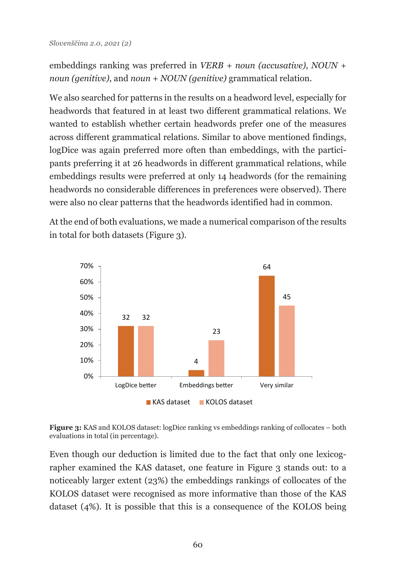```
embeddings ranking was preferred in VERB + noun (accusative), NOUN + 
noun (genitive), and noun + NOUN (genitive) grammatical relation.
```
We also searched for patterns in the results on a headword level, especially for headwords that featured in at least two different grammatical relations. We wanted to establish whether certain headwords prefer one of the measures across different grammatical relations. Similar to above mentioned findings, logDice was again preferred more often than embeddings, with the participants preferring it at 26 headwords in different grammatical relations, while embeddings results were preferred at only 14 headwords (for the remaining headwords no considerable differences in preferences were observed). There were also no clear patterns that the headwords identified had in common.

At the end of both evaluations, we made a numerical comparison of the results in total for both datasets (Figure 3).



**Figure 3:** KAS and KOLOS dataset: logDice ranking vs embeddings ranking of collocates – both evaluations in total (in percentage).

Even though our deduction is limited due to the fact that only one lexicographer examined the KAS dataset, one feature in Figure 3 stands out: to a noticeably larger extent (23%) the embeddings rankings of collocates of the KOLOS dataset were recognised as more informative than those of the KAS dataset (4%). It is possible that this is a consequence of the KOLOS being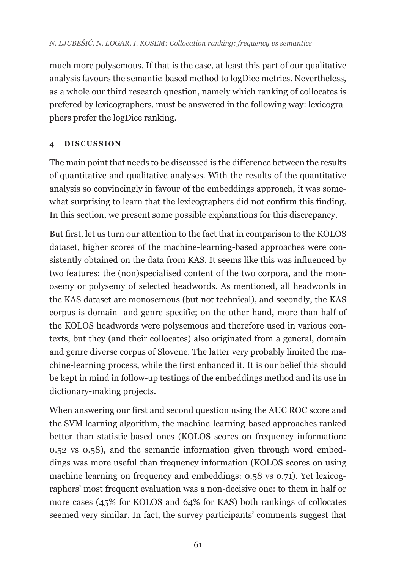much more polysemous. If that is the case, at least this part of our qualitative analysis favours the semantic-based method to logDice metrics. Nevertheless, as a whole our third research question, namely which ranking of collocates is prefered by lexicographers, must be answered in the following way: lexicographers prefer the logDice ranking.

## **4 DISCUSSION**

The main point that needs to be discussed is the difference between the results of quantitative and qualitative analyses. With the results of the quantitative analysis so convincingly in favour of the embeddings approach, it was somewhat surprising to learn that the lexicographers did not confirm this finding. In this section, we present some possible explanations for this discrepancy.

But first, let us turn our attention to the fact that in comparison to the KOLOS dataset, higher scores of the machine-learning-based approaches were consistently obtained on the data from KAS. It seems like this was influenced by two features: the (non)specialised content of the two corpora, and the monosemy or polysemy of selected headwords. As mentioned, all headwords in the KAS dataset are monosemous (but not technical), and secondly, the KAS corpus is domain- and genre-specific; on the other hand, more than half of the KOLOS headwords were polysemous and therefore used in various contexts, but they (and their collocates) also originated from a general, domain and genre diverse corpus of Slovene. The latter very probably limited the machine-learning process, while the first enhanced it. It is our belief this should be kept in mind in follow-up testings of the embeddings method and its use in dictionary-making projects.

When answering our first and second question using the AUC ROC score and the SVM learning algorithm, the machine-learning-based approaches ranked better than statistic-based ones (KOLOS scores on frequency information: 0.52 vs 0.58), and the semantic information given through word embeddings was more useful than frequency information (KOLOS scores on using machine learning on frequency and embeddings: 0.58 vs 0.71). Yet lexicographers' most frequent evaluation was a non-decisive one: to them in half or more cases (45% for KOLOS and 64% for KAS) both rankings of collocates seemed very similar. In fact, the survey participants' comments suggest that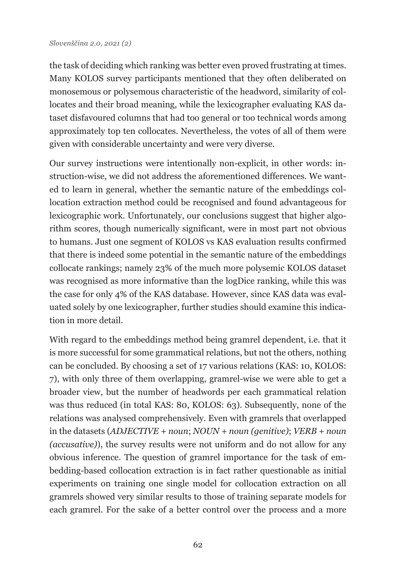the task of deciding which ranking was better even proved frustrating at times. Many KOLOS survey participants mentioned that they often deliberated on monosemous or polysemous characteristic of the headword, similarity of collocates and their broad meaning, while the lexicographer evaluating KAS dataset disfavoured columns that had too general or too technical words among approximately top ten collocates. Nevertheless, the votes of all of them were given with considerable uncertainty and were very diverse.

Our survey instructions were intentionally non-explicit, in other words: instruction-wise, we did not address the aforementioned differences. We wanted to learn in general, whether the semantic nature of the embeddings collocation extraction method could be recognised and found advantageous for lexicographic work. Unfortunately, our conclusions suggest that higher algorithm scores, though numerically significant, were in most part not obvious to humans. Just one segment of KOLOS vs KAS evaluation results confirmed that there is indeed some potential in the semantic nature of the embeddings collocate rankings; namely 23% of the much more polysemic KOLOS dataset was recognised as more informative than the logDice ranking, while this was the case for only 4% of the KAS database. However, since KAS data was evaluated solely by one lexicographer, further studies should examine this indication in more detail.

With regard to the embeddings method being gramrel dependent, i.e. that it is more successful for some grammatical relations, but not the others, nothing can be concluded. By choosing a set of 17 various relations (KAS: 10, KOLOS: 7), with only three of them overlapping, gramrel-wise we were able to get a broader view, but the number of headwords per each grammatical relation was thus reduced (in total KAS: 80, KOLOS: 63). Subsequently, none of the relations was analysed comprehensively. Even with gramrels that overlapped in the datasets (*ADJECTIVE + noun*; *NOUN + noun (genitive)*; *VERB + noun (accusative)*), the survey results were not uniform and do not allow for any obvious inference. The question of gramrel importance for the task of embedding-based collocation extraction is in fact rather questionable as initial experiments on training one single model for collocation extraction on all gramrels showed very similar results to those of training separate models for each gramrel. For the sake of a better control over the process and a more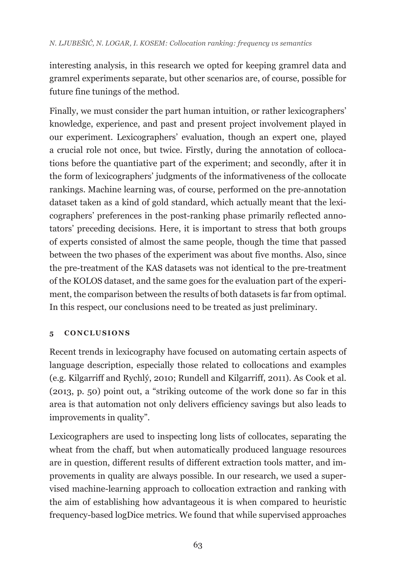interesting analysis, in this research we opted for keeping gramrel data and gramrel experiments separate, but other scenarios are, of course, possible for future fine tunings of the method.

Finally, we must consider the part human intuition, or rather lexicographers' knowledge, experience, and past and present project involvement played in our experiment. Lexicographers' evaluation, though an expert one, played a crucial role not once, but twice. Firstly, during the annotation of collocations before the quantiative part of the experiment; and secondly, after it in the form of lexicographers' judgments of the informativeness of the collocate rankings. Machine learning was, of course, performed on the pre-annotation dataset taken as a kind of gold standard, which actually meant that the lexicographers' preferences in the post-ranking phase primarily reflected annotators' preceding decisions. Here, it is important to stress that both groups of experts consisted of almost the same people, though the time that passed between the two phases of the experiment was about five months. Also, since the pre-treatment of the KAS datasets was not identical to the pre-treatment of the KOLOS dataset, and the same goes for the evaluation part of the experiment, the comparison between the results of both datasets is far from optimal. In this respect, our conclusions need to be treated as just preliminary.

## **5 CONCLUSIONS**

Recent trends in lexicography have focused on automating certain aspects of language description, especially those related to collocations and examples (e.g. Kilgarriff and Rychlý, 2010; Rundell and Kilgarriff, 2011). As Cook et al. (2013, p. 50) point out, a "striking outcome of the work done so far in this area is that automation not only delivers efficiency savings but also leads to improvements in quality".

Lexicographers are used to inspecting long lists of collocates, separating the wheat from the chaff, but when automatically produced language resources are in question, different results of different extraction tools matter, and improvements in quality are always possible. In our research, we used a supervised machine-learning approach to collocation extraction and ranking with the aim of establishing how advantageous it is when compared to heuristic frequency‑based logDice metrics. We found that while supervised approaches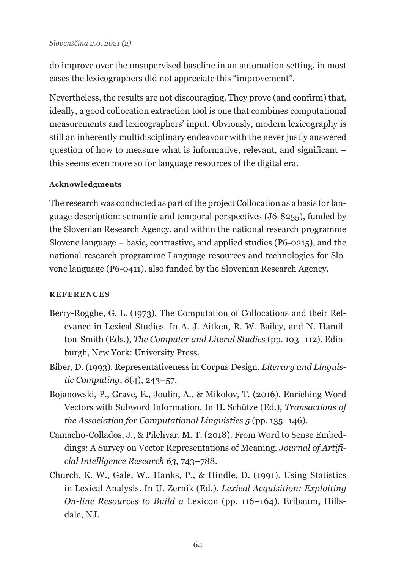do improve over the unsupervised baseline in an automation setting, in most cases the lexicographers did not appreciate this "improvement".

Nevertheless, the results are not discouraging. They prove (and confirm) that, ideally, a good collocation extraction tool is one that combines computational measurements and lexicographers' input. Obviously, modern lexicography is still an inherently multidisciplinary endeavour with the never justly answered question of how to measure what is informative, relevant, and significant – this seems even more so for language resources of the digital era.

#### **Acknowledgments**

The research was conducted as part of the project Collocation as a basis for language description: semantic and temporal perspectives (J6-8255), funded by the Slovenian Research Agency, and within the national research programme Slovene language – basic, contrastive, and applied studies (P6-0215), and the national research programme Language resources and technologies for Slovene language (P6-0411), also funded by the Slovenian Research Agency.

#### **REFERENCES**

- Berry-Rogghe, G. L. (1973). The Computation of Collocations and their Relevance in Lexical Studies. In A. J. Aitken, R. W. Bailey, and N. Hamilton-Smith (Eds.), *The Computer and Literal Studies* (pp. 103–112). Edinburgh, New York: University Press.
- Biber, D. (1993). Representativeness in Corpus Design. *Literary and Linguistic Computing*, *8*(4), 243–57.
- Bojanowski, P., Grave, E., Joulin, A., & Mikolov, T. (2016). Enriching Word Vectors with Subword Information. In H. Schütze (Ed.), *Transactions of the Association for Computational Linguistics 5* (pp. 135–146).
- Camacho-Collados, J., & Pilehvar, M. T. (2018). From Word to Sense Embeddings: A Survey on Vector Representations of Meaning. *Journal of Artificial Intelligence Research 63*, 743–788.
- Church, K. W., Gale, W., Hanks, P., & Hindle, D. (1991). Using Statistics in Lexical Analysis. In U. Zernik (Ed.), *Lexical Acquisition: Exploiting On-line Resources to Build a* Lexicon (pp. 116–164). Erlbaum, Hillsdale, NJ.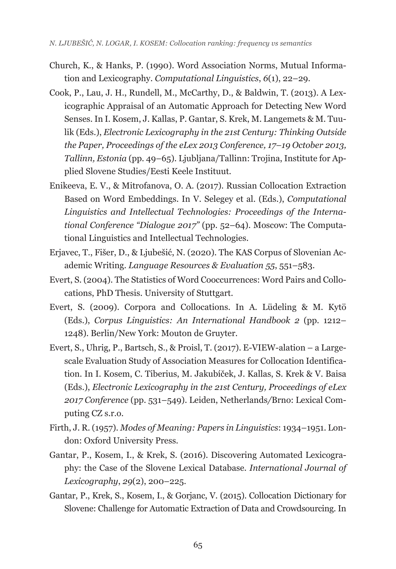- Church, K., & Hanks, P. (1990). Word Association Norms, Mutual Information and Lexicography. *Computational Linguistics*, *6*(1), 22–29.
- Cook, P., Lau, J. H., Rundell, M., McCarthy, D., & Baldwin, T. (2013). A Lexicographic Appraisal of an Automatic Approach for Detecting New Word Senses. In I. Kosem, J. Kallas, P. Gantar, S. Krek, M. Langemets & M. Tuulik (Eds.), *Electronic Lexicography in the 21st Century: Thinking Outside the Paper, Proceedings of the eLex 2013 Conference, 17–19 October 2013, Tallinn, Estonia* (pp. 49–65). Ljubljana/Tallinn: Trojina, Institute for Applied Slovene Studies/Eesti Keele Instituut.
- Enikeeva, E. V., & Mitrofanova, O. A. (2017). Russian Collocation Extraction Based on Word Embeddings. In V. Selegey et al. (Eds.), *Computational Linguistics and Intellectual Technologies: Proceedings of the International Conference "Dialogue 2017"* (pp. 52–64). Moscow: The Computational Linguistics and Intellectual Technologies.
- Erjavec, T., Fišer, D., & Ljubešić, N. (2020). The KAS Corpus of Slovenian Academic Writing. *Language Resources & Evaluation 55*, 551–583.
- Evert, S. (2004). The Statistics of Word Cooccurrences: Word Pairs and Collocations, PhD Thesis. University of Stuttgart.
- Evert, S. (2009). Corpora and Collocations. In A. Lüdeling & M. Kytö (Eds.), *Corpus Linguistics: An International Handbook 2* (pp. 1212– 1248). Berlin/New York: Mouton de Gruyter.
- Evert, S., Uhrig, P., Bartsch, S., & Proisl, T. (2017). E-VIEW-alation a Largescale Evaluation Study of Association Measures for Collocation Identification. In I. Kosem, C. Tiberius, M. Jakubíček, J. Kallas, S. Krek & V. Baisa (Eds.), *Electronic Lexicography in the 21st Century, Proceedings of eLex 2017 Conference* (pp. 531–549). Leiden, Netherlands*/*Brno: Lexical Computing CZ s.r.o.
- Firth, J. R. (1957). *Modes of Meaning: Papers in Linguistics*: 1934–1951. London: Oxford University Press.
- Gantar, P., Kosem, I., & Krek, S. (2016). Discovering Automated Lexicography: the Case of the Slovene Lexical Database. *International Journal of Lexicography*, *29*(2), 200–225.
- Gantar, P., Krek, S., Kosem, I., & Gorjanc, V. (2015). Collocation Dictionary for Slovene: Challenge for Automatic Extraction of Data and Crowdsourcing. In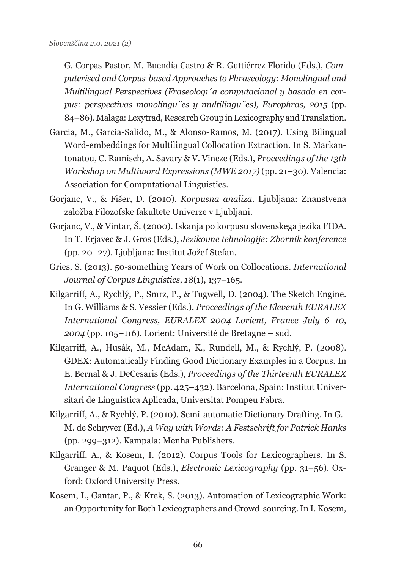G. Corpas Pastor, M. Buendía Castro & R. Guttiérrez Florido (Eds.), *Computerised and Corpus-based Approaches to Phraseology: Monolingual and Multilingual Perspectives (Fraseologı´a computacional y basada en corpus: perspectivas monolingu¨es y multilingu¨es), Europhras, 2015* (pp. 84–86). Malaga: Lexytrad, Research Group in Lexicography and Translation.

- Garcia, M., García-Salido, M., & Alonso-Ramos, M. (2017). Using Bilingual Word-embeddings for Multilingual Collocation Extraction. In S. Markantonatou, C. Ramisch, A. Savary & V. Vincze (Eds.), *Proceedings of the 13th Workshop on Multiword Expressions (MWE 2017)* (pp. 21–30). Valencia: Association for Computational Linguistics.
- Gorjanc, V., & Fišer, D. (2010). *Korpusna analiza*. Ljubljana: Znanstvena založba Filozofske fakultete Univerze v Ljubljani.
- Gorjanc, V., & Vintar, Š. (2000). Iskanja po korpusu slovenskega jezika FIDA. In T. Erjavec & J. Gros (Eds.), *Jezikovne tehnologije: Zbornik konference* (pp. 20–27). Ljubljana: Institut Jožef Stefan.
- Gries, S. (2013). 50-something Years of Work on Collocations. *International Journal of Corpus Linguistics*, *18*(1), 137–165.
- Kilgarriff, A., Rychlý, P., Smrz, P., & Tugwell, D. (2004). The Sketch Engine. In G. Williams & S. Vessier (Eds.), *Proceedings of the Eleventh EURALEX International Congress, EURALEX 2004 Lorient, France July 6–10, 2004* (pp. 105–116). Lorient: Université de Bretagne – sud.
- Kilgarriff, A., Husák, M., McAdam, K., Rundell, M., & Rychlý, P. (2008). GDEX: Automatically Finding Good Dictionary Examples in a Corpus. In E. Bernal & J. DeCesaris (Eds.), *Proceedings of the Thirteenth EURALEX International Congress* (pp. 425–432). Barcelona, Spain: Institut Universitari de Linguistica Aplicada, Universitat Pompeu Fabra.
- Kilgarriff, A., & Rychlý, P. (2010). Semi-automatic Dictionary Drafting. In G.- M. de Schryver (Ed.), *A Way with Words: A Festschrift for Patrick Hanks* (pp. 299–312). Kampala: Menha Publishers.
- Kilgarriff, A., & Kosem, I. (2012). Corpus Tools for Lexicographers. In S. Granger & M. Paquot (Eds.), *Electronic Lexicography* (pp. 31–56). Oxford: Oxford University Press.
- Kosem, I., Gantar, P., & Krek, S. (2013). Automation of Lexicographic Work: an Opportunity for Both Lexicographers and Crowd-sourcing. In I. Kosem,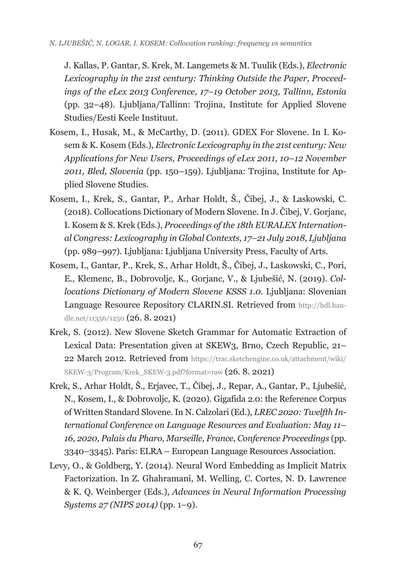J. Kallas, P. Gantar, S. Krek, M. Langemets & M. Tuulik (Eds.), *Electronic Lexicography in the 21st century: Thinking Outside the Paper, Proceedings of the eLex 2013 Conference, 17–19 October 2013, Tallinn, Estonia* (pp. 32–48). Ljubljana/Tallinn: Trojina, Institute for Applied Slovene Studies/Eesti Keele Instituut.

- Kosem, I., Husak, M., & McCarthy, D. (2011). GDEX For Slovene. In I. Kosem & K. Kosem (Eds.), *Electronic Lexicography in the 21st century: New Applications for New Users, Proceedings of eLex 2011, 10–12 November 2011, Bled, Slovenia* (pp. 150–159). Ljubljana: Trojina, Institute for Applied Slovene Studies.
- Kosem, I., Krek, S., Gantar, P., Arhar Holdt, Š., Čibej, J., & Laskowski, C. (2018). Collocations Dictionary of Modern Slovene. In J. Čibej, V. Gorjanc, I. Kosem & S. Krek (Eds.), *Proceedings of the 18th EURALEX International Congress: Lexicography in Global Contexts, 17–21 July 2018, Ljubljana* (pp. 989–997). Ljubljana: Ljubljana University Press, Faculty of Arts.
- Kosem, I., Gantar, P., Krek, S., Arhar Holdt, Š., Čibej, J., Laskowski, C., Pori, E., Klemenc, B., Dobrovoljc, K., Gorjanc, V., & Ljubešić, N. (2019). *Collocations Dictionary of Modern Slovene KSSS 1.0.* Ljubljana: Slovenian Language Resource Repository CLARIN.SI. Retrieved from [http://hdl.han](http://hdl.handle.net/11356/1250)[dle.net/11356/1250](http://hdl.handle.net/11356/1250) (26. 8. 2021)
- Krek, S. (2012). New Slovene Sketch Grammar for Automatic Extraction of Lexical Data: Presentation given at SKEW3, Brno, Czech Republic, 21– 22 March 2012. Retrieved from [https://trac.sketchengine.co.uk/attachment/wiki/](https://trac.sketchengine.co.uk/attachment/wiki/SKEW-3/Program/Krek_SKEW-3.pdf?format=raw) [SKEW-3/Program/Krek\\_SKEW-3.pdf?format=raw](https://trac.sketchengine.co.uk/attachment/wiki/SKEW-3/Program/Krek_SKEW-3.pdf?format=raw) (26. 8. 2021)
- Krek, S., Arhar Holdt, Š., Erjavec, T., Čibej, J., Repar, A., Gantar, P., Ljubešić, N., Kosem, I., & Dobrovoljc, K. (2020). Gigafida 2.0: the Reference Corpus of Written Standard Slovene. In N. Calzolari (Ed.), *LREC 2020: Twelfth International Conference on Language Resources and Evaluation: May 11– 16, 2020, Palais du Pharo, Marseille, France, Conference Proceedings* (pp. 3340–3345). Paris: ELRA – European Language Resources Association.
- Levy, O., & Goldberg, Y. (2014). Neural Word Embedding as Implicit Matrix Factorization. In Z. Ghahramani, M. Welling, C. Cortes, N. D. Lawrence & K. Q. Weinberger (Eds.), *Advances in Neural Information Processing Systems 27 (NIPS 2014)* (pp. 1–9).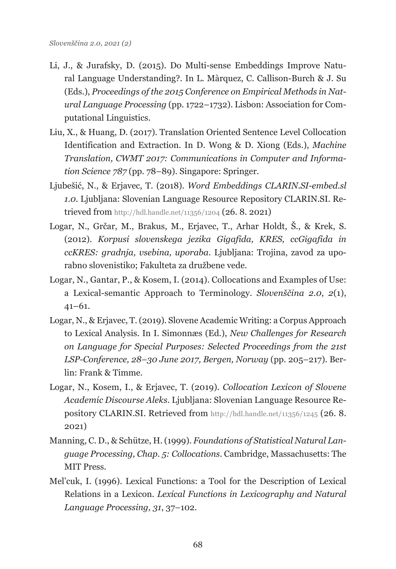- Li, J., & Jurafsky, D. (2015). Do Multi-sense Embeddings Improve Natural Language Understanding?. In L. Màrquez, C. Callison-Burch & J. Su (Eds.), *Proceedings of the 2015 Conference on Empirical Methods in Natural Language Processing* (pp. 1722–1732). Lisbon: Association for Computational Linguistics.
- Liu, X., & Huang, D. (2017). Translation Oriented Sentence Level Collocation Identification and Extraction. In D. Wong & D. Xiong (Eds.), *Machine Translation, CWMT 2017: Communications in Computer and Information Science 787* (pp. 78–89). Singapore: Springer.
- Ljubešić, N., & Erjavec, T. (2018). *Word Embeddings CLARIN.SI-embed.sl 1.0.* Ljubljana: Slovenian Language Resource Repository CLARIN.SI. Retrieved from <http://hdl.handle.net/11356/1204>(26. 8. 2021)
- Logar, N., Grčar, M., Brakus, M., Erjavec, T., Arhar Holdt, Š., & Krek, S. (2012). *Korpusi slovenskega jezika Gigafida, KRES, ccGigafida in ccKRES: gradnja, vsebina, uporaba*. Ljubljana: Trojina, zavod za uporabno slovenistiko; Fakulteta za družbene vede.
- Logar, N., Gantar, P., & Kosem, I. (2014). Collocations and Examples of Use: a Lexical-semantic Approach to Terminology. *Slovenščina 2.0*, *2*(1), 41–61.
- Logar, N., & Erjavec, T. (2019). Slovene Academic Writing: a Corpus Approach to Lexical Analysis. In I. Simonnæs (Ed.), *New Challenges for Research on Language for Special Purposes: Selected Proceedings from the 21st LSP-Conference, 28–30 June 2017, Bergen, Norway* (pp. 205–217). Berlin: Frank & Timme.
- Logar, N., Kosem, I., & Erjavec, T. (2019). *Collocation Lexicon of Slovene Academic Discourse Aleks*. Ljubljana: Slovenian Language Resource Repository CLARIN.SI. Retrieved from <http://hdl.handle.net/11356/1245> (26. 8. 2021)
- Manning, C. D., & Schütze, H. (1999). *Foundations of Statistical Natural Language Processing, Chap. 5: Collocations*. Cambridge, Massachusetts: The MIT Press.
- Mel'cuk, I. (1996). Lexical Functions: a Tool for the Description of Lexical Relations in a Lexicon. *Lexical Functions in Lexicography and Natural Language Processing, 31*, 37–102.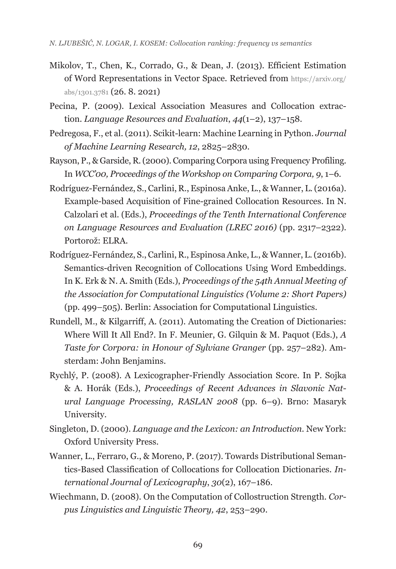- Mikolov, T., Chen, K., Corrado, G., & Dean, J. (2013). Efficient Estimation of Word Representations in Vector Space. Retrieved from [https://arxiv.org/](https://arxiv.org/abs/1301.3781) [abs/1301.3781](https://arxiv.org/abs/1301.3781) (26. 8. 2021)
- Pecina, P. (2009). Lexical Association Measures and Collocation extraction. *Language Resources and Evaluation*, *44*(1–2), 137–158.
- Pedregosa, F., et al. (2011). Scikit-learn: Machine Learning in Python. *Journal of Machine Learning Research, 12*, 2825–2830.
- Rayson, P., & Garside, R. (2000). Comparing Corpora using Frequency Profiling. In *WCC'00, Proceedings of the Workshop on Comparing Corpora, 9*, 1–6.
- Rodríguez-Fernández, S., Carlini, R., Espinosa Anke, L., & Wanner, L. (2016a). Example-based Acquisition of Fine-grained Collocation Resources. In N. Calzolari et al. (Eds.), *Proceedings of the Tenth International Conference on Language Resources and Evaluation (LREC 2016)* (pp. 2317–2322). Portorož: ELRA.
- Rodríguez-Fernández, S., Carlini, R., Espinosa Anke, L., & Wanner, L. (2016b). Semantics-driven Recognition of Collocations Using Word Embeddings. In K. Erk & N. A. Smith (Eds.), *Proceedings of the 54th Annual Meeting of the Association for Computational Linguistics (Volume 2: Short Papers)* (pp. 499–505). Berlin: Association for Computational Linguistics.
- Rundell, M., & Kilgarriff, A. (2011). Automating the Creation of Dictionaries: Where Will It All End?. In F. Meunier, G. Gilquin & M. Paquot (Eds.), *A Taste for Corpora: in Honour of Sylviane Granger* (pp. 257–282). Amsterdam: John Benjamins.
- Rychlý, P. (2008). A Lexicographer-Friendly Association Score. In P. Sojka & A. Horák (Eds.), *Proceedings of Recent Advances in Slavonic Natural Language Processing, RASLAN 2008* (pp. 6–9). Brno: Masaryk University.
- Singleton, D. (2000). *Language and the Lexicon: an Introduction.* New York: Oxford University Press.
- Wanner, L., Ferraro, G., & Moreno, P. (2017). Towards Distributional Semantics-Based Classification of Collocations for Collocation Dictionaries. *International Journal of Lexicography*, *30*(2), 167–186.
- Wiechmann, D. (2008). On the Computation of Collostruction Strength. *Corpus Linguistics and Linguistic Theory, 42*, 253–290.